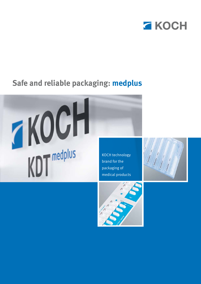

# **Safe and reliable packaging: medplus**

KDT medplus

KOCH technology brand for the packaging of medical products



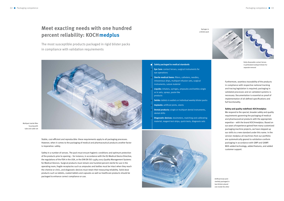## **Meet exacting needs with one hundred percent reliability: KOCH medplus**

#### **Safely packaged to medical standards** П

The most susceptible products packaged in rigid blister packs in compliance with validation requirements



- **Eye Care:** contact lenses, surgical instruments for eye operations
- **Sterile medical items:** filters, catheters, needles, intravenous drips, multipart infusion sets, surgical instruments, suture material
- **Liquids:** inhalers, syringes, ampoules and bottles single or in sets, sprays, paste-like products
- **Solids:** tablets in wallets or individual weekly blister packs
- **Implants:** artificial joints, stents
- **Dental products:** single or multipart dental instruments, dental drills
- **Diagnostic devices:** dosimeters, matching and calibrating material, reagent test strips, quick tests, diagnosis sets





Stable, cost-efficient and reproducible: these requirements apply to all packaging processes. How ever, when it comes to the packaging of medical and pharmaceutical products another factor is imperative: safety.

Furthermore, seamless traceability of the products in compliance with respective national tracking and tracing legislation is required; packaging in validated processes and on validated systems is necessary. Documentation is essential as proof of implementation of all defined specifications and full functionality.

#### **Safety and quality redefined: KOCH medplus**

Multipart sterile filter housing with tube and cable set

> Artificial knee joint sterilely packaged in two blisters placed one inside the other



Daily disposable contact lenses in perforated multipart blister for separate removal

We respond to the special, broader safety and quality requirements governing the packaging of medical and pharmaceutical products with the appropriate expertise – with the brand KOCH medplus. Based on our years of experience gained from many customized packaging machine projects, we have stepped up our skills to a new standard under this name. In the version medplus all machines from our portfolio are systematically geared to validation-conform packaging in accordance with GMP and GAMP. With added technology, added features, and added customer support.

Safety in a number of senses. The pack must ensure hygienic conditions and optimum protection of the products prior to opening – for instance, in accordance with the EU Medical Device Directive, the regulations of the FDA in the USA, or the DIN EN ISO 13485:2003 Quality Management Systems for Medical Devices. Surgical products must remain one hundred percent sterile for use in the operating room, fragile receptacles such as ampoules and bottles must be intact when they reach the chemist or clinic, and diagnostic devices must retain their measuring reliability. Solid dose products such as tablets, coated tablets and capsules as well as healthcare products should be packaged to enhance correct compliance or use.

Syringes in a blister pack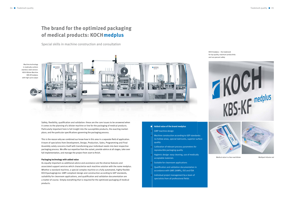## **The brand for the optimized packaging of medical products: KOCH medplus**

#### **Added value of the brand medplus**  d

- GMP machine design
- Machine construction according to GEP standards: no hollow areas, special lubricants, superior surface quality
- Calibration of relevant process parameters for reproducible packaging quality
- Hygienic design: easy cleaning, use of medically acceptable materials
- Suitable for cleanroom applications
- Qualifi cation and validation documentation in accordance with GMP, GAMP5, ISO and FDA
- Individual project management by a team of specialists from all professional fields

Special skills in machine construction and consultation

#### **Packaging technology with added value**

As equally important as additional advice and assistance are the diverse features and associated support services which characterize each machine solution with the name medplus. Whether a standard machine, a special complex machine or a fully automated, highly flexible KOCH packagingLine: GMP-compliant design and construction according to GEP standards, suitability for cleanroom applications, and qualification and validation documentation are a matter of course. Simply every thing that is required for the optimized packaging of medical products.



Safety, flexibility, qualification and validation: these are the core issues to be answered when it comes to the planning of a blister machine or line for the packaging of medical products. Particularly important here is full insight into the susceptible products, the exacting marketplace, and the particular specifications governing the packaging process.

This is the reason why we combined our know-how in this area in a separate field of application. A team of specialists from Development, Design, Production, Sales, Programming and Final Assembly solely concerns itself with transforming your individual needs into best respective packaging process. We offer our expertise from the outset, provide advice at all stages, take over full implementation, and manage the project from start to finish.

KOCH medplus – the trademark for top quality, maximum productivity and 100-percent safety

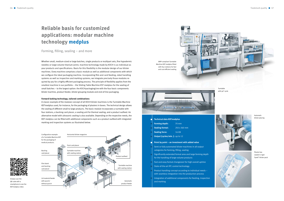#### **Technical data KDT medplus** г

## **Reliable basis for customized applications: modular machine technology medplus**

- **Forming depth:** 70 mm
- **Sealing format:** 250 x 360 mm
- **Sealing force:** 16 kN
- 
- **Output [cycles/min.]:** up to 12

Forming, filling, sealing – and more

### **Point by point – an investment with added value**

- Semi or fully automated blister machines in all output categories for forming, filling, sealing
- Significantly extended format area and large forming depth for the handling of large-volume products
- Fast and easy format changeover for high overall uptime
- State-of-the-art IPC control technology
- Product handling concept according to individual needs with seamless integration into the production process
- Integration of additional components for feeding, inspection and marking



Whether small, medium-sized or large batches, single products or multipart sets, fine hypodermic needles or large-volume titanium joints: machine technology made by KOCH is as individual as your products and specifications. Basis for this flexibility is the modular design of our blister machines. Every machine comprises a basic module as well as additional components with which we configure the ideal packaging machine. Incorporating film and card feeding, robot handling systems as well as inspection and marking systems, we integrate precisely those modules required by you for a highly efficient packaging process. The principle of flexibility applies from the smallest machine in our portfolio – the Sliding Table Machine KST medplus for the sealing of small batches – to the largest option: the KOCH packagingLine with the four basic components blister machine, product feeder, blister grouping module and end-of-line packaging.



#### **Forward-looking technology, tailored combinations**

A classic example of the modular concept of all KOCH blister machines is the Turntable Machine KDT medplus used, for instance, for the packaging of plasters in boxes. The technical design allows the sealing of different small to large products. The basic module incorporates a turntable with four stations, a backing card placer, a sealing unit for thermal sealing, and a product outfeed. An alternative model with ultrasonic sealing is also available. Depending on the respective needs, the KDT medplus can be fitted with additional components such as a product outfeed with integrated marking and inspection systems as illustrated below.





Automatic blister placing

Plaster box sealed in rigid Tyvek® blister pack

GMP-compliant Turntable Machine KDT medplus fitted with four stations for fast and cost-efficient sealing



 $X00$ 

Simply scan the QR code with a smartphone to see the KDT medplus video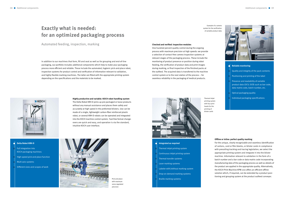### **Exactly what is needed: for an optimized packaging process**

Automated feeding, inspection, marking

In addition to our machines that form, fill and seal as well as for grouping and end-of-line packaging, our portfolio includes additional components which help to make your packaging process more efficient and reliable. These include the automated, hygienic pick-and-place robot, inspection systems for product control and verification of information relevant to validation, and highly flexible marking machines. The latter are fitted with the appropriate printing system depending on the specifications and the materials to be marked.

- Full integration into KOCH packaging machines High-speed pick-and-place function Multi-axis systems
- Different sizes and scopes of work

**Highly productive and variable: KOCH robot handling system**

### Н **Integrated as required**

The Delta Robot KRH-D picks up pre-packaged or loose products without any manual assistance and places them safely and accurately at high speed in the preformed blisters. Use can be made of a single, lightweight carbon-fiber reinforced plastic robot, or several KRH-D robots can be operated and integrated

into the KOCH machine control system. Tool-free format changeovers are quick and easy, and operation is via the standard,



### **Delta Robot KRH-D**

Н



#### **Offline or inline: perfect quality marking**

For the unique, clearly recognizable and seamless identification of cartons, card or film blanks, or blister cards in compliance with prevailing tracking and tracing legislation, we select the appropriate printing system and integrate it into the blister machine. Information relevant to validation in the form of a batch number and a bar code or data matrix code incorporating manufacturing data of the packaging process as well as details of the product are applied in the appropriate quality. Alternatively, the KOCH Print Machine KPM-200 offers an efficient offline solution which, if required, can be extended by a product positioning and grouping system at the product outfeed conveyor.

- Thermal inkjet printing system
- Continuous inkjet printing system
- 
- Thermal transfer systems
- Laser marking systems
- Labeler with/without marking system
- Drop-on-demand marking systems
- Braille marking systems

One hundred percent quality control during the ongoing process with maximum precision at high speeds: we provide a selection of contact-free camera inspection systems at relevant stages of the packaging process. These include the monitoring of product presence or position during robot feeding, the verification of product data and print images during marking, or final inspection of the finished packs at the outfeed. The acquired data is transferred to the machine control system or to the next station of the process – for seamless reliability in the packaging of medical products.



Pick-and-place with maximum servo-regulated precision



Thermal inkjet printing system with four print heads for the printing of blister cards

Example of a camera system for the verification of variable product data

#### **Checked and verified: inspection modules**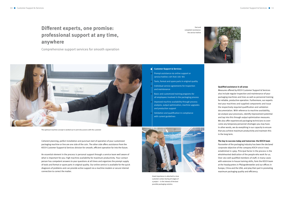## **Different experts, one promise: professional support at any time, anywhere**

Coherent planning, perfect installation and punctual start of operation of your customized packaging machine or line are one side of the coin. The other side offers assistance from the KOCH Customer Support & Services division for smooth, efficient operation far into the future.

Comprehensive support services for smooth operation

An essential element in the process is personal support through a service team well aware of what is important for you: high machine availability for maximum productivity. Your contact person has competent answers to your questions at all times and organizes the prompt supply of tools and format or spare parts in original quality. Our online service is available for the quick diagnosis of problems and can provide active support via a machine modem or secure internet connection to correct the matter.

Measures offered by KOCH Customer Support & Services also include regular inspection and maintenance of your packaging machines and lines as well as personnel training for reliable, productive operation. Furthermore, our experts test your machines and supplied components and issue the respectively required qualification and validation documentation. With reference to machine availability, we analyze your processes, identify improvement potential and tap into this through output optimization measures. We also offer experienced packaging technicians to overcome any temporary personnel shortages you may have. In other words, we do everything in our capacity to ensure that you achieve maximum productivity and maintain this in the long term.

Pacesetter of the packaging industry has been the declared corporate objective of the company KOCH since it was established in 1969. Principal factor in the process is the wholehearted dedication of the people who work for us. Over 260 well qualified members of staff, in many cases with extensive in-house training skills, form the KOCH team at the headquarters in Pfalzgrafenweiler and our offices in Europe, China and the USA, and play their part in promoting maximum packaging quality and efficiency.

### **Qualifi ed assistance in all areas**

#### **The key to success today and tomorrow: the KOCH team**

- **Customer Support & Services**
- Prompt assistance via online support or service hotline +49 7445 181-181
- Tools, format and spare parts in original quality
- Individual service agreements for inspection and maintenance
- Basic and customized training programs for all employees involved in the packaging process
- Improved machine availability through process analysis, output optimization, machine upgrades and production support
- Validation and qualification in compliance with current guidelines



The optimum machine concept is worked out in joint discussions with the customer



Great importance is attached to close customer contact during all stages of a project – in the interest of the best possible packaging solution.



Fast and competent assistance: the service hotline